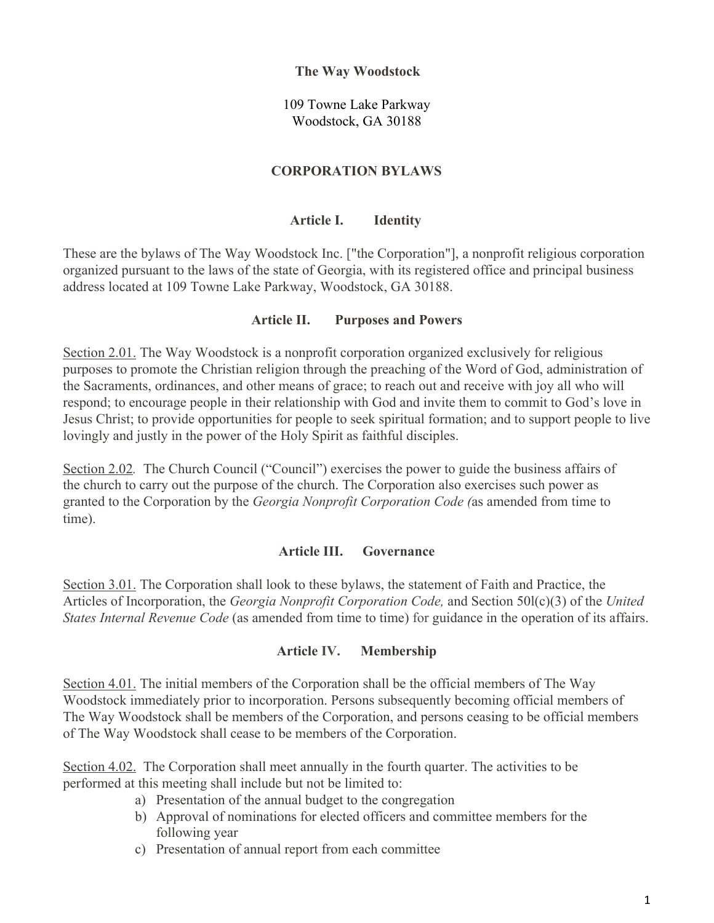### **The Way Woodstock**

109 Towne Lake Parkway Woodstock, GA 30188

## **CORPORATION BYLAWS**

## **Article I. Identity**

These are the bylaws of The Way Woodstock Inc. ["the Corporation"], a nonprofit religious corporation organized pursuant to the laws of the state of Georgia, with its registered office and principal business address located at 109 Towne Lake Parkway, Woodstock, GA 30188.

### **Article II. Purposes and Powers**

Section 2.01. The Way Woodstock is a nonprofit corporation organized exclusively for religious purposes to promote the Christian religion through the preaching of the Word of God, administration of the Sacraments, ordinances, and other means of grace; to reach out and receive with joy all who will respond; to encourage people in their relationship with God and invite them to commit to God's love in Jesus Christ; to provide opportunities for people to seek spiritual formation; and to support people to live lovingly and justly in the power of the Holy Spirit as faithful disciples.

Section 2.02*.* The Church Council ("Council") exercises the power to guide the business affairs of the church to carry out the purpose of the church. The Corporation also exercises such power as granted to the Corporation by the *Georgia Nonprofit Corporation Code (*as amended from time to time).

#### **Article III. Governance**

Section 3.01. The Corporation shall look to these bylaws, the statement of Faith and Practice, the Articles of Incorporation, the *Georgia Nonprofit Corporation Code,* and Section 50l(c)(3) of the *United States Internal Revenue Code* (as amended from time to time) for guidance in the operation of its affairs.

## **Article IV. Membership**

Section 4.01. The initial members of the Corporation shall be the official members of The Way Woodstock immediately prior to incorporation. Persons subsequently becoming official members of The Way Woodstock shall be members of the Corporation, and persons ceasing to be official members of The Way Woodstock shall cease to be members of the Corporation.

Section 4.02.The Corporation shall meet annually in the fourth quarter. The activities to be performed at this meeting shall include but not be limited to:

- a) Presentation of the annual budget to the congregation
- b) Approval of nominations for elected officers and committee members for the following year
- c) Presentation of annual report from each committee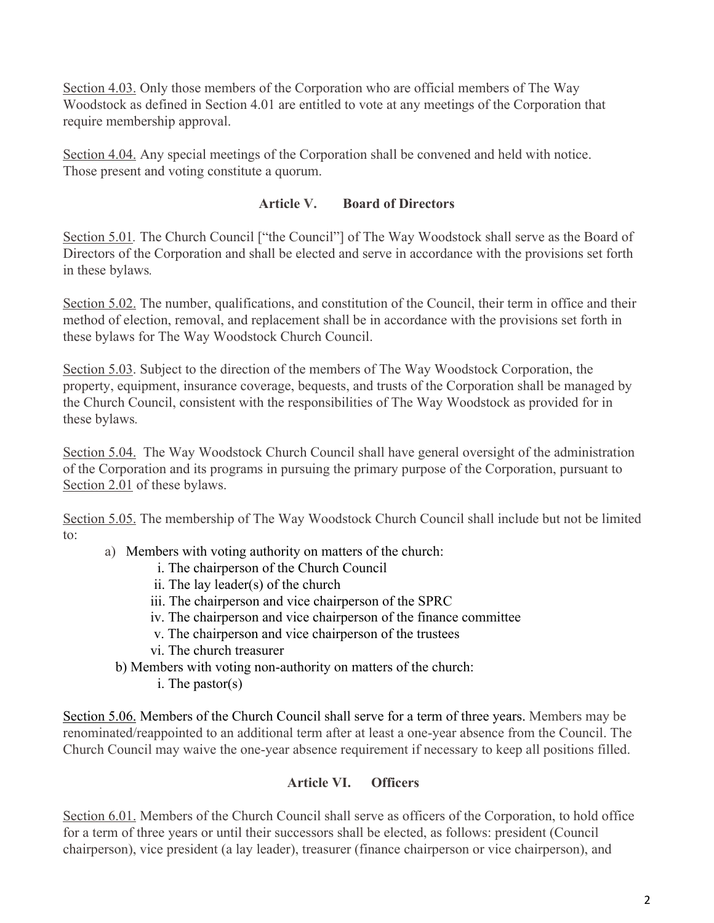Section 4.03. Only those members of the Corporation who are official members of The Way Woodstock as defined in Section 4.01 are entitled to vote at any meetings of the Corporation that require membership approval.

Section 4.04. Any special meetings of the Corporation shall be convened and held with notice. Those present and voting constitute a quorum.

# **Article V. Board of Directors**

Section 5.01. The Church Council ["the Council"] of The Way Woodstock shall serve as the Board of Directors of the Corporation and shall be elected and serve in accordance with the provisions set forth in these bylaws*.*

Section 5.02. The number, qualifications, and constitution of the Council, their term in office and their method of election, removal, and replacement shall be in accordance with the provisions set forth in these bylaws for The Way Woodstock Church Council.

Section 5.03. Subject to the direction of the members of The Way Woodstock Corporation, the property, equipment, insurance coverage, bequests, and trusts of the Corporation shall be managed by the Church Council, consistent with the responsibilities of The Way Woodstock as provided for in these bylaws*.*

Section 5.04. The Way Woodstock Church Council shall have general oversight of the administration of the Corporation and its programs in pursuing the primary purpose of the Corporation, pursuant to Section 2.01 of these bylaws.

Section 5.05. The membership of The Way Woodstock Church Council shall include but not be limited to:

- a) Members with voting authority on matters of the church:
	- i. The chairperson of the Church Council
	- ii. The lay leader(s) of the church
	- iii. The chairperson and vice chairperson of the SPRC
	- iv. The chairperson and vice chairperson of the finance committee
	- v. The chairperson and vice chairperson of the trustees
	- vi. The church treasurer
	- b) Members with voting non-authority on matters of the church:
		- i. The pastor(s)

Section 5.06. Members of the Church Council shall serve for a term of three years. Members may be renominated/reappointed to an additional term after at least a one-year absence from the Council. The Church Council may waive the one-year absence requirement if necessary to keep all positions filled.

# **Article VI. Officers**

Section 6.01. Members of the Church Council shall serve as officers of the Corporation, to hold office for a term of three years or until their successors shall be elected, as follows: president (Council chairperson), vice president (a lay leader), treasurer (finance chairperson or vice chairperson), and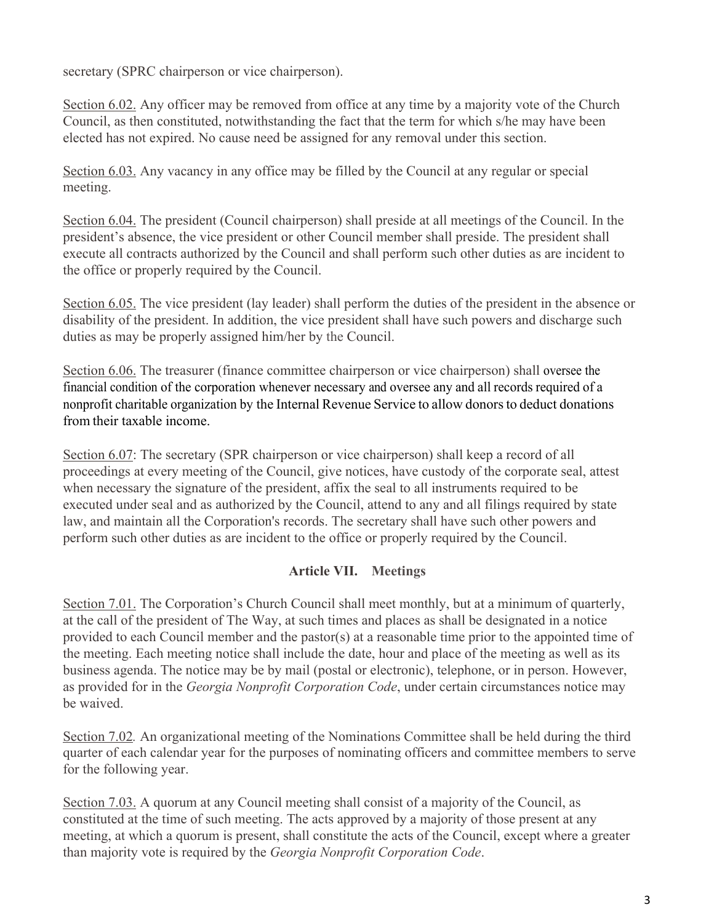secretary (SPRC chairperson or vice chairperson).

Section 6.02. Any officer may be removed from office at any time by a majority vote of the Church Council, as then constituted, notwithstanding the fact that the term for which s/he may have been elected has not expired. No cause need be assigned for any removal under this section.

Section 6.03. Any vacancy in any office may be filled by the Council at any regular or special meeting.

Section 6.04. The president (Council chairperson) shall preside at all meetings of the Council. In the president's absence, the vice president or other Council member shall preside. The president shall execute all contracts authorized by the Council and shall perform such other duties as are incident to the office or properly required by the Council.

Section 6.05. The vice president (lay leader) shall perform the duties of the president in the absence or disability of the president. In addition, the vice president shall have such powers and discharge such duties as may be properly assigned him/her by the Council.

Section 6.06. The treasurer (finance committee chairperson or vice chairperson) shall oversee the financial condition of the corporation whenever necessary and oversee any and all records required of a nonprofit charitable organization by the Internal Revenue Service to allow donorsto deduct donations from their taxable income.

Section 6.07: The secretary (SPR chairperson or vice chairperson) shall keep a record of all proceedings at every meeting of the Council, give notices, have custody of the corporate seal, attest when necessary the signature of the president, affix the seal to all instruments required to be executed under seal and as authorized by the Council, attend to any and all filings required by state law, and maintain all the Corporation's records. The secretary shall have such other powers and perform such other duties as are incident to the office or properly required by the Council.

## **Article VII. Meetings**

Section 7.01. The Corporation's Church Council shall meet monthly, but at a minimum of quarterly, at the call of the president of The Way, at such times and places as shall be designated in a notice provided to each Council member and the pastor(s) at a reasonable time prior to the appointed time of the meeting. Each meeting notice shall include the date, hour and place of the meeting as well as its business agenda. The notice may be by mail (postal or electronic), telephone, or in person. However, as provided for in the *Georgia Nonprofit Corporation Code*, under certain circumstances notice may be waived.

Section 7.02*.* An organizational meeting of the Nominations Committee shall be held during the third quarter of each calendar year for the purposes of nominating officers and committee members to serve for the following year.

Section 7.03. A quorum at any Council meeting shall consist of a majority of the Council, as constituted at the time of such meeting. The acts approved by a majority of those present at any meeting, at which a quorum is present, shall constitute the acts of the Council, except where a greater than majority vote is required by the *Georgia Nonprofit Corporation Code*.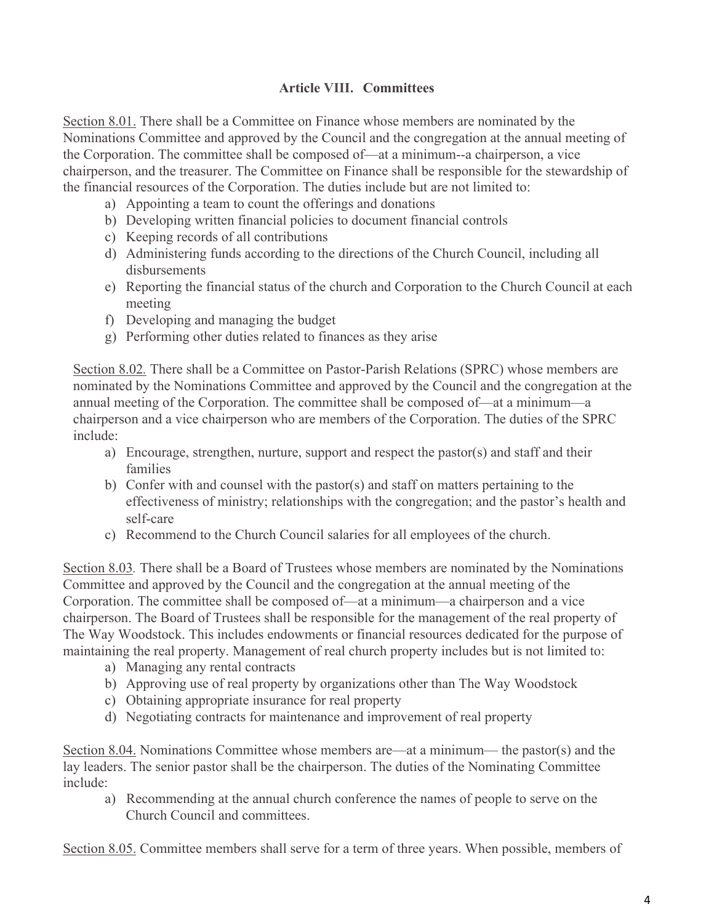# **Article VIII. Committees**

Section 8.01. There shall be a Committee on Finance whose members are nominated by the Nominations Committee and approved by the Council and the congregation at the annual meeting of the Corporation. The committee shall be composed of—at a minimum--a chairperson, a vice chairperson, and the treasurer. The Committee on Finance shall be responsible for the stewardship of the financial resources of the Corporation. The duties include but are not limited to:

- a) Appointing a team to count the offerings and donations
- b) Developing written financial policies to document financial controls
- c) Keeping records of all contributions
- d) Administering funds according to the directions of the Church Council, including all disbursements
- e) Reporting the financial status of the church and Corporation to the Church Council at each meeting
- f) Developing and managing the budget
- g) Performing other duties related to finances as they arise

Section 8.02*.* There shall be a Committee on Pastor-Parish Relations (SPRC) whose members are nominated by the Nominations Committee and approved by the Council and the congregation at the annual meeting of the Corporation. The committee shall be composed of—at a minimum—a chairperson and a vice chairperson who are members of the Corporation. The duties of the SPRC include:

- a) Encourage, strengthen, nurture, support and respect the pastor(s) and staff and their families
- b) Confer with and counsel with the pastor(s) and staff on matters pertaining to the effectiveness of ministry; relationships with the congregation; and the pastor's health and self-care
- c) Recommend to the Church Council salaries for all employees of the church.

Section 8.03*.* There shall be a Board of Trustees whose members are nominated by the Nominations Committee and approved by the Council and the congregation at the annual meeting of the Corporation. The committee shall be composed of—at a minimum—a chairperson and a vice chairperson. The Board of Trustees shall be responsible for the management of the real property of The Way Woodstock. This includes endowments or financial resources dedicated for the purpose of maintaining the real property. Management of real church property includes but is not limited to:

- a) Managing any rental contracts
- b) Approving use of real property by organizations other than The Way Woodstock
- c) Obtaining appropriate insurance for real property
- d) Negotiating contracts for maintenance and improvement of real property

Section 8.04. Nominations Committee whose members are—at a minimum— the pastor(s) and the lay leaders. The senior pastor shall be the chairperson. The duties of the Nominating Committee include:

a) Recommending at the annual church conference the names of people to serve on the Church Council and committees.

Section 8.05. Committee members shall serve for a term of three years. When possible, members of